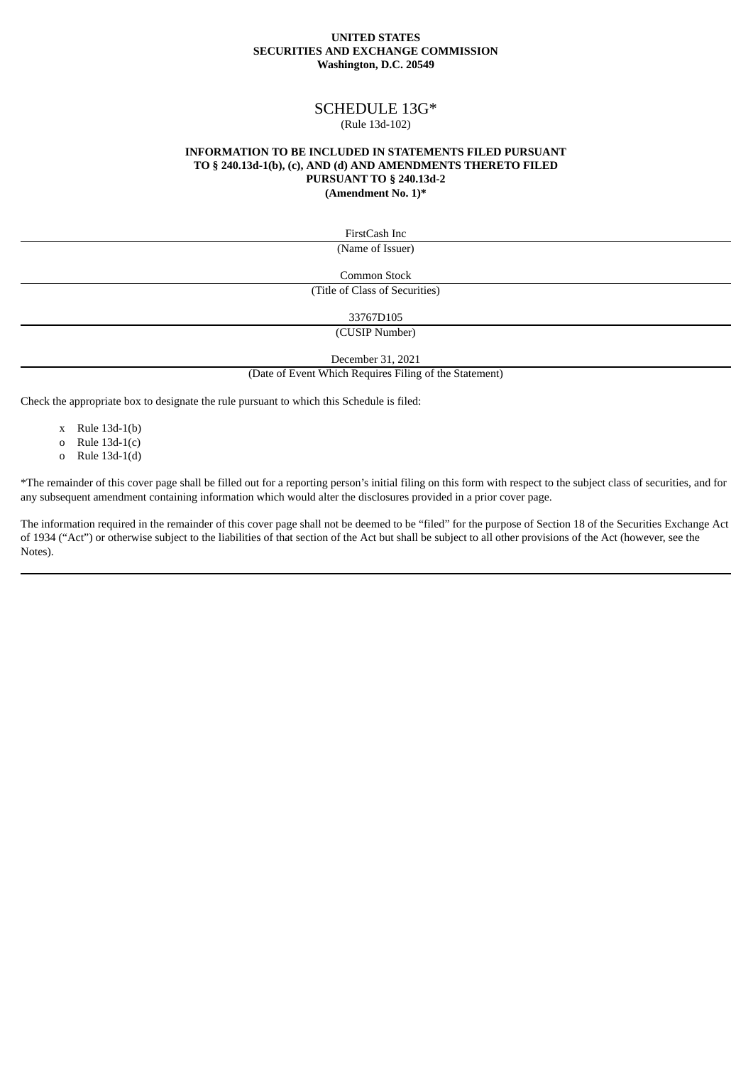### **UNITED STATES SECURITIES AND EXCHANGE COMMISSION Washington, D.C. 20549**

# SCHEDULE 13G\*

## (Rule 13d-102)

### **INFORMATION TO BE INCLUDED IN STATEMENTS FILED PURSUANT TO § 240.13d-1(b), (c), AND (d) AND AMENDMENTS THERETO FILED PURSUANT TO § 240.13d-2 (Amendment No. 1)\***

FirstCash Inc

(Name of Issuer)

Common Stock

(Title of Class of Securities)

33767D105

(CUSIP Number)

December 31, 2021

(Date of Event Which Requires Filing of the Statement)

Check the appropriate box to designate the rule pursuant to which this Schedule is filed:

- x Rule 13d-1(b)
- o Rule 13d-1(c)
- o Rule 13d-1(d)

\*The remainder of this cover page shall be filled out for a reporting person's initial filing on this form with respect to the subject class of securities, and for any subsequent amendment containing information which would alter the disclosures provided in a prior cover page.

The information required in the remainder of this cover page shall not be deemed to be "filed" for the purpose of Section 18 of the Securities Exchange Act of 1934 ("Act") or otherwise subject to the liabilities of that section of the Act but shall be subject to all other provisions of the Act (however, see the Notes).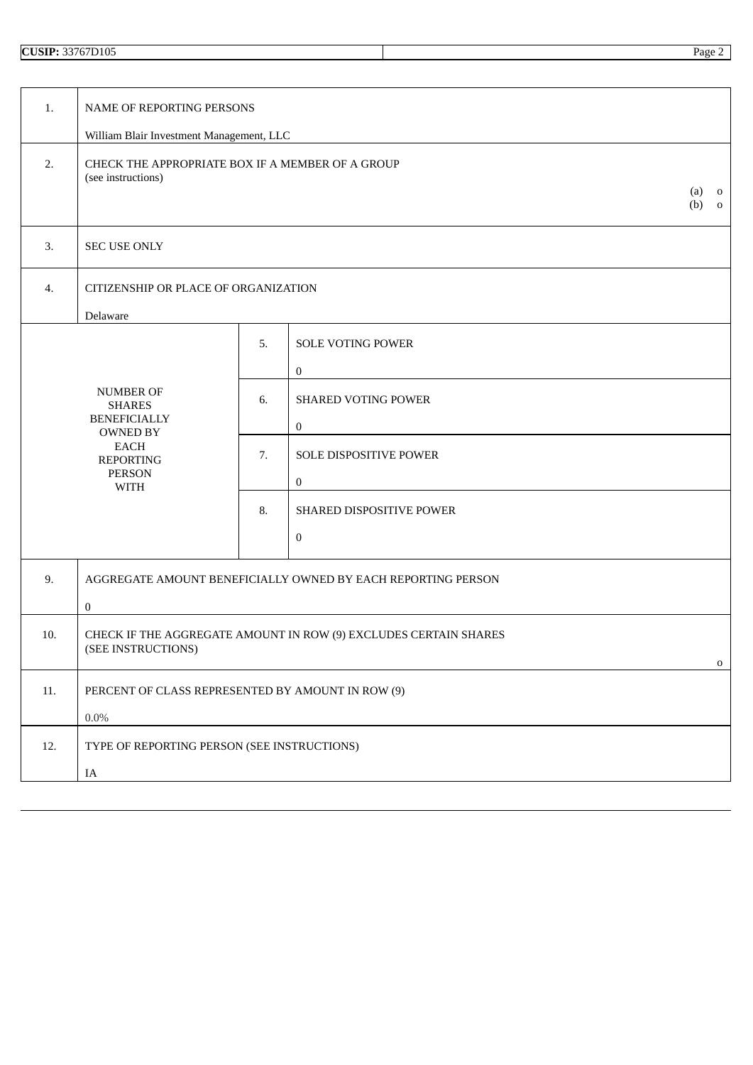| 1.  | NAME OF REPORTING PERSONS                                                                                            |    |                                            |  |  |
|-----|----------------------------------------------------------------------------------------------------------------------|----|--------------------------------------------|--|--|
|     | William Blair Investment Management, LLC                                                                             |    |                                            |  |  |
| 2.  | CHECK THE APPROPRIATE BOX IF A MEMBER OF A GROUP<br>(see instructions)<br>(a)<br>$\mathbf{o}$<br>(b)<br>$\mathbf{o}$ |    |                                            |  |  |
| 3.  | SEC USE ONLY                                                                                                         |    |                                            |  |  |
| 4.  | CITIZENSHIP OR PLACE OF ORGANIZATION                                                                                 |    |                                            |  |  |
|     | Delaware                                                                                                             |    |                                            |  |  |
|     |                                                                                                                      | 5. | <b>SOLE VOTING POWER</b><br>0              |  |  |
|     | <b>NUMBER OF</b><br><b>SHARES</b><br><b>BENEFICIALLY</b><br><b>OWNED BY</b>                                          | 6. | <b>SHARED VOTING POWER</b><br>0            |  |  |
|     | <b>EACH</b><br><b>REPORTING</b><br>PERSON<br><b>WITH</b>                                                             | 7. | SOLE DISPOSITIVE POWER<br>$\boldsymbol{0}$ |  |  |
|     |                                                                                                                      | 8. | SHARED DISPOSITIVE POWER<br>0              |  |  |
|     |                                                                                                                      |    |                                            |  |  |
| 9.  | AGGREGATE AMOUNT BENEFICIALLY OWNED BY EACH REPORTING PERSON                                                         |    |                                            |  |  |
|     | $\boldsymbol{0}$                                                                                                     |    |                                            |  |  |
| 10. | CHECK IF THE AGGREGATE AMOUNT IN ROW (9) EXCLUDES CERTAIN SHARES<br>(SEE INSTRUCTIONS)<br>0                          |    |                                            |  |  |
| 11. | PERCENT OF CLASS REPRESENTED BY AMOUNT IN ROW (9)<br>$0.0\%$                                                         |    |                                            |  |  |
| 12. | TYPE OF REPORTING PERSON (SEE INSTRUCTIONS)                                                                          |    |                                            |  |  |
|     | IA                                                                                                                   |    |                                            |  |  |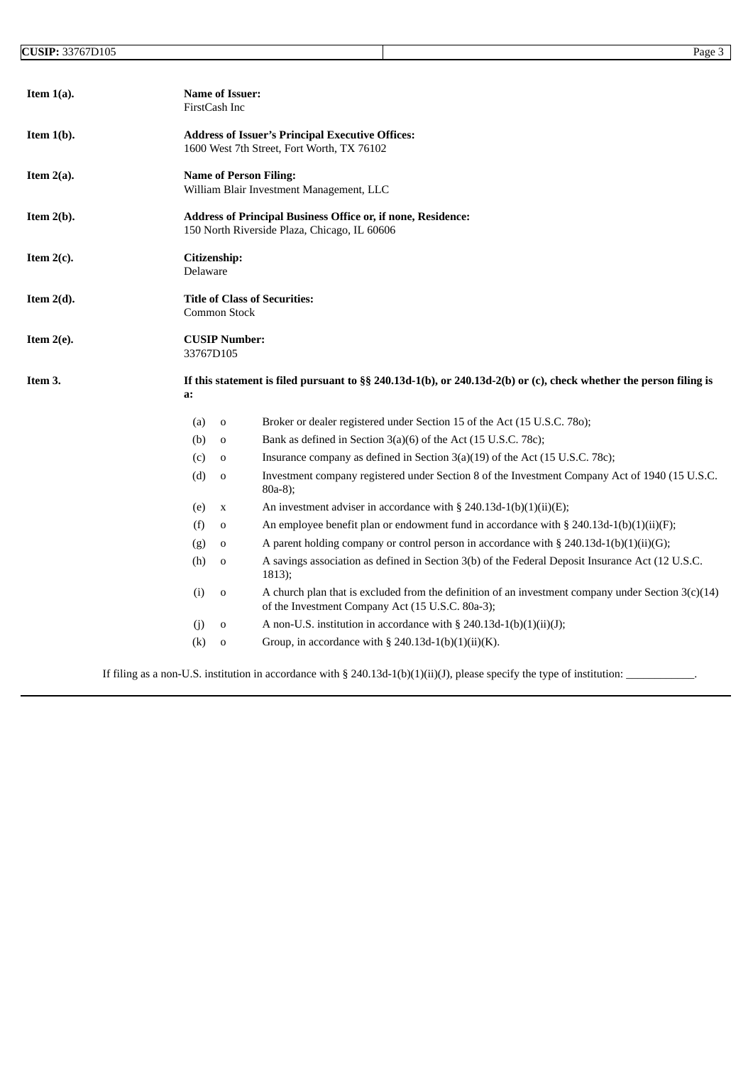| Item $1(a)$ . | <b>Name of Issuer:</b><br>FirstCash Inc                                                                             |                                                                                                                                                          |  |  |
|---------------|---------------------------------------------------------------------------------------------------------------------|----------------------------------------------------------------------------------------------------------------------------------------------------------|--|--|
| Item $1(b)$ . | <b>Address of Issuer's Principal Executive Offices:</b><br>1600 West 7th Street, Fort Worth, TX 76102               |                                                                                                                                                          |  |  |
| Item $2(a)$ . | <b>Name of Person Filing:</b><br>William Blair Investment Management, LLC                                           |                                                                                                                                                          |  |  |
| Item $2(b)$ . | <b>Address of Principal Business Office or, if none, Residence:</b><br>150 North Riverside Plaza, Chicago, IL 60606 |                                                                                                                                                          |  |  |
| Item $2(c)$ . | Citizenship:<br>Delaware                                                                                            |                                                                                                                                                          |  |  |
| Item $2(d)$ . | Common Stock                                                                                                        | <b>Title of Class of Securities:</b>                                                                                                                     |  |  |
| Item $2(e)$ . | <b>CUSIP Number:</b><br>33767D105                                                                                   |                                                                                                                                                          |  |  |
| Item 3.       | a:                                                                                                                  | If this statement is filed pursuant to §§ 240.13d-1(b), or 240.13d-2(b) or (c), check whether the person filing is                                       |  |  |
|               | (a)<br>$\mathbf 0$                                                                                                  | Broker or dealer registered under Section 15 of the Act (15 U.S.C. 780);                                                                                 |  |  |
|               | (b)<br>0                                                                                                            | Bank as defined in Section 3(a)(6) of the Act (15 U.S.C. 78c);                                                                                           |  |  |
|               | (c)<br>0                                                                                                            | Insurance company as defined in Section 3(a)(19) of the Act (15 U.S.C. 78c);                                                                             |  |  |
|               | (d)<br>$\mathbf 0$                                                                                                  | Investment company registered under Section 8 of the Investment Company Act of 1940 (15 U.S.C.<br>80a-8);                                                |  |  |
|               | (e)<br>$\mathbf X$                                                                                                  | An investment adviser in accordance with § 240.13d-1(b)(1)(ii)(E);                                                                                       |  |  |
|               | (f)<br>$\mathbf 0$                                                                                                  | An employee benefit plan or endowment fund in accordance with § 240.13d-1(b)(1)(ii)(F);                                                                  |  |  |
|               | (g)<br>0                                                                                                            | A parent holding company or control person in accordance with $\S 240.13d-1(b)(1)(ii)(G);$                                                               |  |  |
|               | (h)<br>$\mathbf 0$                                                                                                  | A savings association as defined in Section 3(b) of the Federal Deposit Insurance Act (12 U.S.C.<br>$1813$ ;                                             |  |  |
|               | (i)<br>$\mathbf 0$                                                                                                  | A church plan that is excluded from the definition of an investment company under Section $3(c)(14)$<br>of the Investment Company Act (15 U.S.C. 80a-3); |  |  |
|               | (i)<br>0                                                                                                            | A non-U.S. institution in accordance with $\S$ 240.13d-1(b)(1)(ii)(J);                                                                                   |  |  |
|               | (k)<br>$\mathbf 0$                                                                                                  | Group, in accordance with § 240.13d-1(b)(1)(ii)(K).                                                                                                      |  |  |

If filing as a non-U.S. institution in accordance with § 240.13d-1(b)(1)(ii)(J), please specify the type of institution: \_\_\_\_\_\_\_\_\_\_\_\_\_.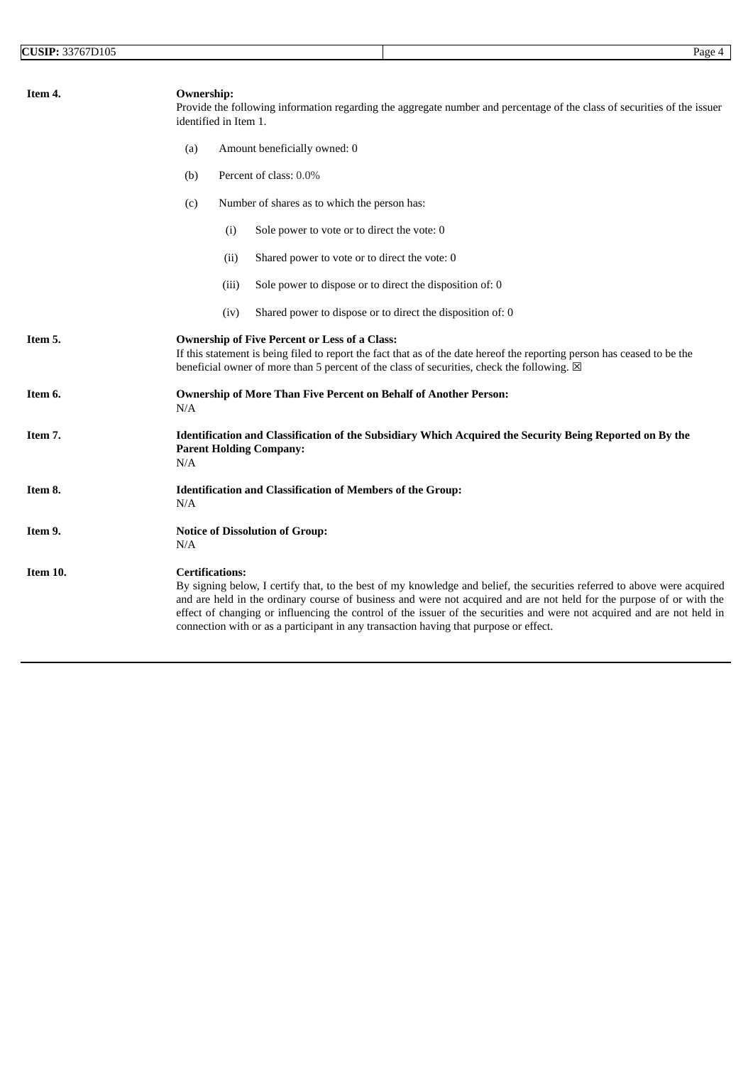| Item 4.  | <b>Ownership:</b><br>Provide the following information regarding the aggregate number and percentage of the class of securities of the issuer<br>identified in Item 1.                                                                                                                                                                                                                                                                                                                          |  |  |  |
|----------|-------------------------------------------------------------------------------------------------------------------------------------------------------------------------------------------------------------------------------------------------------------------------------------------------------------------------------------------------------------------------------------------------------------------------------------------------------------------------------------------------|--|--|--|
|          | (a)<br>Amount beneficially owned: 0                                                                                                                                                                                                                                                                                                                                                                                                                                                             |  |  |  |
|          | Percent of class: 0.0%<br>(b)                                                                                                                                                                                                                                                                                                                                                                                                                                                                   |  |  |  |
|          | Number of shares as to which the person has:<br>(c)                                                                                                                                                                                                                                                                                                                                                                                                                                             |  |  |  |
|          | Sole power to vote or to direct the vote: 0<br>(i)                                                                                                                                                                                                                                                                                                                                                                                                                                              |  |  |  |
|          | Shared power to vote or to direct the vote: 0<br>(ii)                                                                                                                                                                                                                                                                                                                                                                                                                                           |  |  |  |
|          | Sole power to dispose or to direct the disposition of: 0<br>(iii)                                                                                                                                                                                                                                                                                                                                                                                                                               |  |  |  |
|          | Shared power to dispose or to direct the disposition of: 0<br>(iv)                                                                                                                                                                                                                                                                                                                                                                                                                              |  |  |  |
| Item 5.  | <b>Ownership of Five Percent or Less of a Class:</b><br>If this statement is being filed to report the fact that as of the date hereof the reporting person has ceased to be the<br>beneficial owner of more than 5 percent of the class of securities, check the following. ⊠                                                                                                                                                                                                                  |  |  |  |
| Item 6.  | <b>Ownership of More Than Five Percent on Behalf of Another Person:</b><br>N/A                                                                                                                                                                                                                                                                                                                                                                                                                  |  |  |  |
| Item 7.  | Identification and Classification of the Subsidiary Which Acquired the Security Being Reported on By the<br><b>Parent Holding Company:</b><br>N/A                                                                                                                                                                                                                                                                                                                                               |  |  |  |
| Item 8.  | <b>Identification and Classification of Members of the Group:</b><br>N/A                                                                                                                                                                                                                                                                                                                                                                                                                        |  |  |  |
| Item 9.  | <b>Notice of Dissolution of Group:</b><br>N/A                                                                                                                                                                                                                                                                                                                                                                                                                                                   |  |  |  |
| Item 10. | <b>Certifications:</b><br>By signing below, I certify that, to the best of my knowledge and belief, the securities referred to above were acquired<br>and are held in the ordinary course of business and were not acquired and are not held for the purpose of or with the<br>effect of changing or influencing the control of the issuer of the securities and were not acquired and are not held in<br>connection with or as a participant in any transaction having that purpose or effect. |  |  |  |